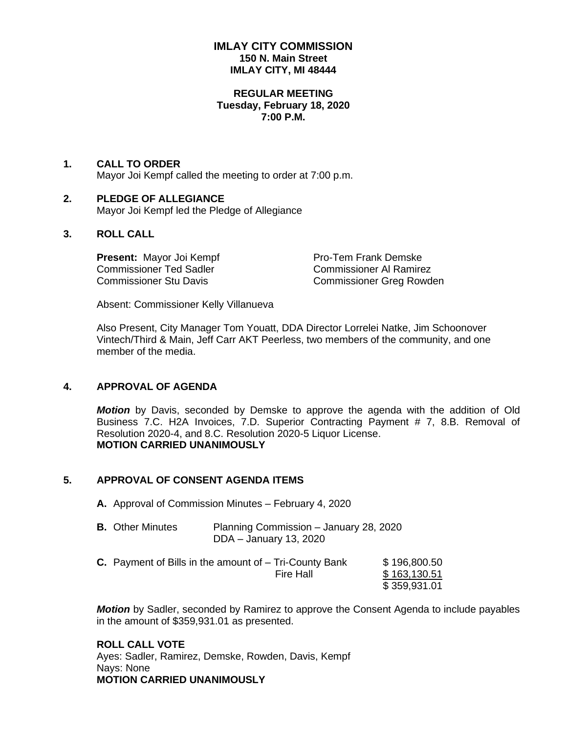# **IMLAY CITY COMMISSION 150 N. Main Street IMLAY CITY, MI 48444**

#### **REGULAR MEETING Tuesday, February 18, 2020 7:00 P.M.**

#### **1. CALL TO ORDER** Mayor Joi Kempf called the meeting to order at 7:00 p.m.

### **2. PLEDGE OF ALLEGIANCE** Mayor Joi Kempf led the Pledge of Allegiance

# **3. ROLL CALL**

**Present:** Mayor Joi Kempf Pro-Tem Frank Demske Commissioner Ted Sadler Commissioner Al Ramirez

Commissioner Stu Davis Commissioner Greg Rowden

Absent: Commissioner Kelly Villanueva

Also Present, City Manager Tom Youatt, DDA Director Lorrelei Natke, Jim Schoonover Vintech/Third & Main, Jeff Carr AKT Peerless, two members of the community, and one member of the media.

# **4. APPROVAL OF AGENDA**

*Motion* by Davis, seconded by Demske to approve the agenda with the addition of Old Business 7.C. H2A Invoices, 7.D. Superior Contracting Payment # 7, 8.B. Removal of Resolution 2020-4, and 8.C. Resolution 2020-5 Liquor License. **MOTION CARRIED UNANIMOUSLY**

# **5. APPROVAL OF CONSENT AGENDA ITEMS**

**A.** Approval of Commission Minutes – February 4, 2020

| <b>B.</b> Other Minutes | Planning Commission – January 28, 2020 |
|-------------------------|----------------------------------------|
|                         | DDA – January 13, 2020                 |

**C.** Payment of Bills in the amount of – Tri-County Bank \$ 196,800.50 Fire Hall \$163,130.51 \$ 359,931.01

*Motion* by Sadler, seconded by Ramirez to approve the Consent Agenda to include payables in the amount of \$359,931.01 as presented.

**ROLL CALL VOTE** Ayes: Sadler, Ramirez, Demske, Rowden, Davis, Kempf Nays: None **MOTION CARRIED UNANIMOUSLY**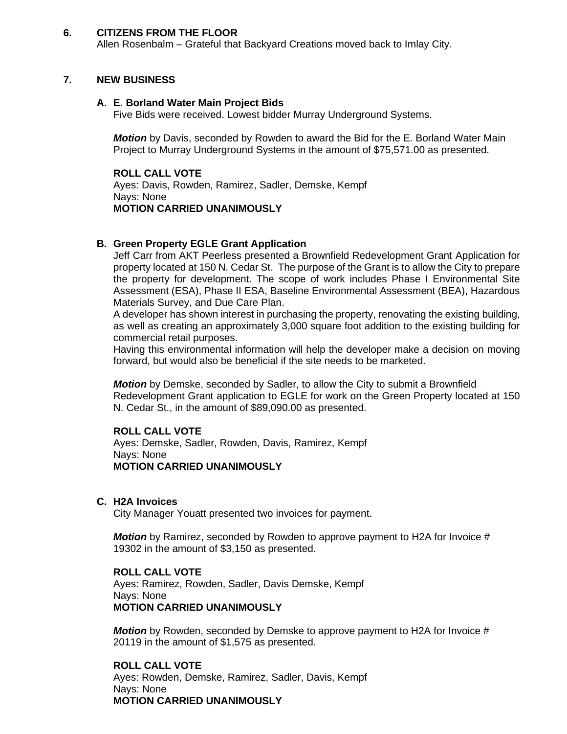### **6. CITIZENS FROM THE FLOOR**

Allen Rosenbalm – Grateful that Backyard Creations moved back to Imlay City.

### **7. NEW BUSINESS**

### **A. E. Borland Water Main Project Bids**

Five Bids were received. Lowest bidder Murray Underground Systems.

*Motion* by Davis, seconded by Rowden to award the Bid for the E. Borland Water Main Project to Murray Underground Systems in the amount of \$75,571.00 as presented.

## **ROLL CALL VOTE**

Ayes: Davis, Rowden, Ramirez, Sadler, Demske, Kempf Nays: None **MOTION CARRIED UNANIMOUSLY**

#### **B. Green Property EGLE Grant Application**

Jeff Carr from AKT Peerless presented a Brownfield Redevelopment Grant Application for property located at 150 N. Cedar St. The purpose of the Grant is to allow the City to prepare the property for development. The scope of work includes Phase I Environmental Site Assessment (ESA), Phase II ESA, Baseline Environmental Assessment (BEA), Hazardous Materials Survey, and Due Care Plan.

A developer has shown interest in purchasing the property, renovating the existing building, as well as creating an approximately 3,000 square foot addition to the existing building for commercial retail purposes.

Having this environmental information will help the developer make a decision on moving forward, but would also be beneficial if the site needs to be marketed.

*Motion* by Demske, seconded by Sadler, to allow the City to submit a Brownfield Redevelopment Grant application to EGLE for work on the Green Property located at 150 N. Cedar St., in the amount of \$89,090.00 as presented.

#### **ROLL CALL VOTE**

Ayes: Demske, Sadler, Rowden, Davis, Ramirez, Kempf Nays: None **MOTION CARRIED UNANIMOUSLY**

**C. H2A Invoices** 

City Manager Youatt presented two invoices for payment.

*Motion* by Ramirez, seconded by Rowden to approve payment to H2A for Invoice # 19302 in the amount of \$3,150 as presented.

## **ROLL CALL VOTE**

Ayes: Ramirez, Rowden, Sadler, Davis Demske, Kempf Nays: None **MOTION CARRIED UNANIMOUSLY**

*Motion* by Rowden, seconded by Demske to approve payment to H2A for Invoice # 20119 in the amount of \$1,575 as presented.

**ROLL CALL VOTE** Ayes: Rowden, Demske, Ramirez, Sadler, Davis, Kempf Nays: None **MOTION CARRIED UNANIMOUSLY**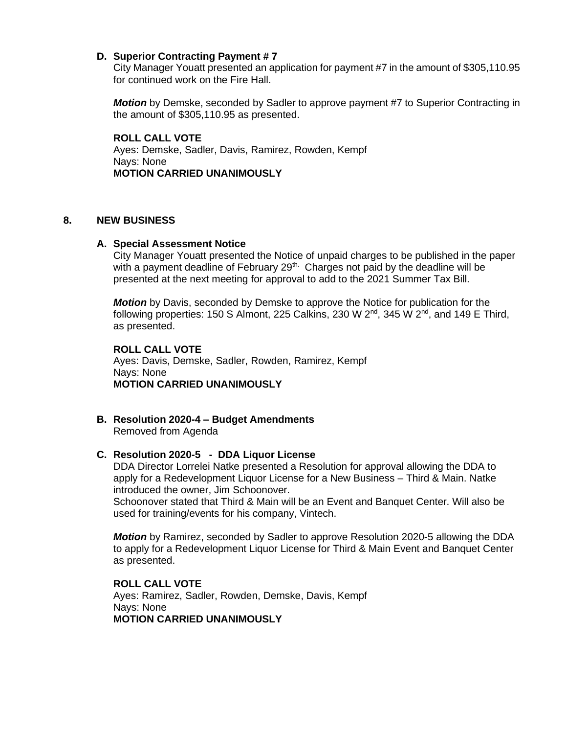## **D. Superior Contracting Payment # 7**

City Manager Youatt presented an application for payment #7 in the amount of \$305,110.95 for continued work on the Fire Hall.

*Motion* by Demske, seconded by Sadler to approve payment #7 to Superior Contracting in the amount of \$305,110.95 as presented.

**ROLL CALL VOTE** Ayes: Demske, Sadler, Davis, Ramirez, Rowden, Kempf Nays: None **MOTION CARRIED UNANIMOUSLY**

### **8. NEW BUSINESS**

## **A. Special Assessment Notice**

City Manager Youatt presented the Notice of unpaid charges to be published in the paper with a payment deadline of February  $29<sup>th</sup>$ . Charges not paid by the deadline will be presented at the next meeting for approval to add to the 2021 Summer Tax Bill.

*Motion* by Davis, seconded by Demske to approve the Notice for publication for the following properties: 150 S Almont, 225 Calkins, 230 W  $2^{nd}$ , 345 W  $2^{nd}$ , and 149 E Third, as presented.

**ROLL CALL VOTE** Ayes: Davis, Demske, Sadler, Rowden, Ramirez, Kempf Nays: None **MOTION CARRIED UNANIMOUSLY**

## **B. Resolution 2020-4 – Budget Amendments** Removed from Agenda

#### **C. Resolution 2020-5 - DDA Liquor License**

DDA Director Lorrelei Natke presented a Resolution for approval allowing the DDA to apply for a Redevelopment Liquor License for a New Business – Third & Main. Natke introduced the owner, Jim Schoonover.

Schoonover stated that Third & Main will be an Event and Banquet Center. Will also be used for training/events for his company, Vintech.

*Motion* by Ramirez, seconded by Sadler to approve Resolution 2020-5 allowing the DDA to apply for a Redevelopment Liquor License for Third & Main Event and Banquet Center as presented.

**ROLL CALL VOTE** Ayes: Ramirez, Sadler, Rowden, Demske, Davis, Kempf Nays: None **MOTION CARRIED UNANIMOUSLY**